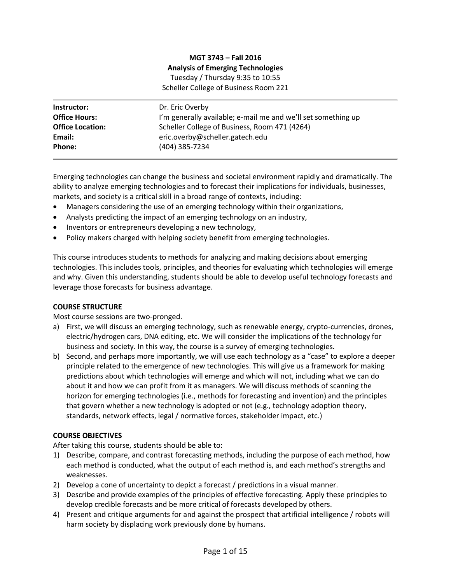# **MGT 3743 – Fall 2016 Analysis of Emerging Technologies** Tuesday / Thursday 9:35 to 10:55 Scheller College of Business Room 221

| Instructor:             | Dr. Eric Overby                                               |
|-------------------------|---------------------------------------------------------------|
| <b>Office Hours:</b>    | I'm generally available; e-mail me and we'll set something up |
| <b>Office Location:</b> | Scheller College of Business, Room 471 (4264)                 |
| Email:                  | eric.overby@scheller.gatech.edu                               |
| Phone:                  | (404) 385-7234                                                |

Emerging technologies can change the business and societal environment rapidly and dramatically. The ability to analyze emerging technologies and to forecast their implications for individuals, businesses, markets, and society is a critical skill in a broad range of contexts, including:

- Managers considering the use of an emerging technology within their organizations,
- Analysts predicting the impact of an emerging technology on an industry,
- Inventors or entrepreneurs developing a new technology,
- Policy makers charged with helping society benefit from emerging technologies.

This course introduces students to methods for analyzing and making decisions about emerging technologies. This includes tools, principles, and theories for evaluating which technologies will emerge and why. Given this understanding, students should be able to develop useful technology forecasts and leverage those forecasts for business advantage.

#### **COURSE STRUCTURE**

Most course sessions are two-pronged.

- a) First, we will discuss an emerging technology, such as renewable energy, crypto-currencies, drones, electric/hydrogen cars, DNA editing, etc. We will consider the implications of the technology for business and society. In this way, the course is a survey of emerging technologies.
- b) Second, and perhaps more importantly, we will use each technology as a "case" to explore a deeper principle related to the emergence of new technologies. This will give us a framework for making predictions about which technologies will emerge and which will not, including what we can do about it and how we can profit from it as managers. We will discuss methods of scanning the horizon for emerging technologies (i.e., methods for forecasting and invention) and the principles that govern whether a new technology is adopted or not (e.g., technology adoption theory, standards, network effects, legal / normative forces, stakeholder impact, etc.)

#### **COURSE OBJECTIVES**

After taking this course, students should be able to:

- 1) Describe, compare, and contrast forecasting methods, including the purpose of each method, how each method is conducted, what the output of each method is, and each method's strengths and weaknesses.
- 2) Develop a cone of uncertainty to depict a forecast / predictions in a visual manner.
- 3) Describe and provide examples of the principles of effective forecasting. Apply these principles to develop credible forecasts and be more critical of forecasts developed by others.
- 4) Present and critique arguments for and against the prospect that artificial intelligence / robots will harm society by displacing work previously done by humans.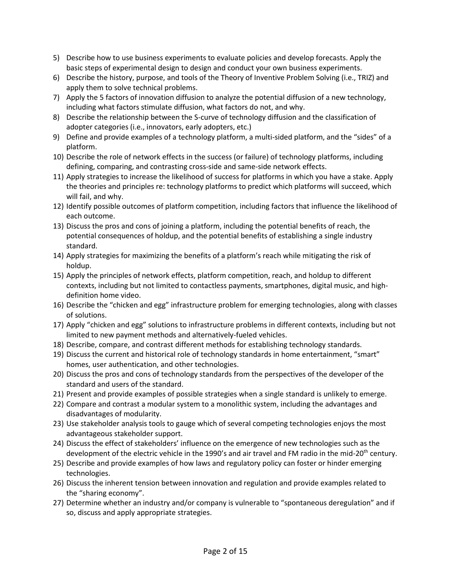- 5) Describe how to use business experiments to evaluate policies and develop forecasts. Apply the basic steps of experimental design to design and conduct your own business experiments.
- 6) Describe the history, purpose, and tools of the Theory of Inventive Problem Solving (i.e., TRIZ) and apply them to solve technical problems.
- 7) Apply the 5 factors of innovation diffusion to analyze the potential diffusion of a new technology, including what factors stimulate diffusion, what factors do not, and why.
- 8) Describe the relationship between the S-curve of technology diffusion and the classification of adopter categories (i.e., innovators, early adopters, etc.)
- 9) Define and provide examples of a technology platform, a multi-sided platform, and the "sides" of a platform.
- 10) Describe the role of network effects in the success (or failure) of technology platforms, including defining, comparing, and contrasting cross-side and same-side network effects.
- 11) Apply strategies to increase the likelihood of success for platforms in which you have a stake. Apply the theories and principles re: technology platforms to predict which platforms will succeed, which will fail, and why.
- 12) Identify possible outcomes of platform competition, including factors that influence the likelihood of each outcome.
- 13) Discuss the pros and cons of joining a platform, including the potential benefits of reach, the potential consequences of holdup, and the potential benefits of establishing a single industry standard.
- 14) Apply strategies for maximizing the benefits of a platform's reach while mitigating the risk of holdup.
- 15) Apply the principles of network effects, platform competition, reach, and holdup to different contexts, including but not limited to contactless payments, smartphones, digital music, and highdefinition home video.
- 16) Describe the "chicken and egg" infrastructure problem for emerging technologies, along with classes of solutions.
- 17) Apply "chicken and egg" solutions to infrastructure problems in different contexts, including but not limited to new payment methods and alternatively-fueled vehicles.
- 18) Describe, compare, and contrast different methods for establishing technology standards.
- 19) Discuss the current and historical role of technology standards in home entertainment, "smart" homes, user authentication, and other technologies.
- 20) Discuss the pros and cons of technology standards from the perspectives of the developer of the standard and users of the standard.
- 21) Present and provide examples of possible strategies when a single standard is unlikely to emerge.
- 22) Compare and contrast a modular system to a monolithic system, including the advantages and disadvantages of modularity.
- 23) Use stakeholder analysis tools to gauge which of several competing technologies enjoys the most advantageous stakeholder support.
- 24) Discuss the effect of stakeholders' influence on the emergence of new technologies such as the development of the electric vehicle in the 1990's and air travel and FM radio in the mid-20<sup>th</sup> century.
- 25) Describe and provide examples of how laws and regulatory policy can foster or hinder emerging technologies.
- 26) Discuss the inherent tension between innovation and regulation and provide examples related to the "sharing economy".
- 27) Determine whether an industry and/or company is vulnerable to "spontaneous deregulation" and if so, discuss and apply appropriate strategies.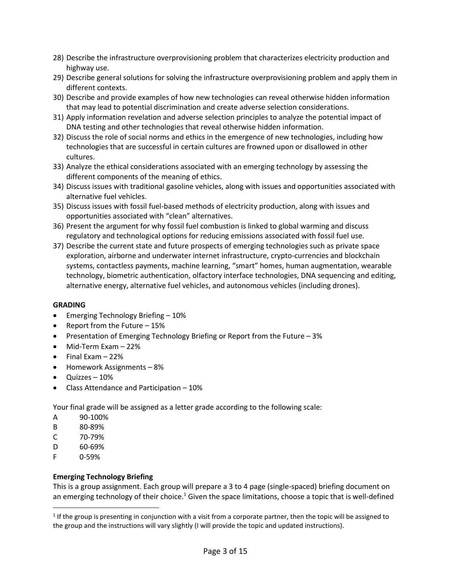- 28) Describe the infrastructure overprovisioning problem that characterizes electricity production and highway use.
- 29) Describe general solutions for solving the infrastructure overprovisioning problem and apply them in different contexts.
- 30) Describe and provide examples of how new technologies can reveal otherwise hidden information that may lead to potential discrimination and create adverse selection considerations.
- 31) Apply information revelation and adverse selection principles to analyze the potential impact of DNA testing and other technologies that reveal otherwise hidden information.
- 32) Discuss the role of social norms and ethics in the emergence of new technologies, including how technologies that are successful in certain cultures are frowned upon or disallowed in other cultures.
- 33) Analyze the ethical considerations associated with an emerging technology by assessing the different components of the meaning of ethics.
- 34) Discuss issues with traditional gasoline vehicles, along with issues and opportunities associated with alternative fuel vehicles.
- 35) Discuss issues with fossil fuel-based methods of electricity production, along with issues and opportunities associated with "clean" alternatives.
- 36) Present the argument for why fossil fuel combustion is linked to global warming and discuss regulatory and technological options for reducing emissions associated with fossil fuel use.
- 37) Describe the current state and future prospects of emerging technologies such as private space exploration, airborne and underwater internet infrastructure, crypto-currencies and blockchain systems, contactless payments, machine learning, "smart" homes, human augmentation, wearable technology, biometric authentication, olfactory interface technologies, DNA sequencing and editing, alternative energy, alternative fuel vehicles, and autonomous vehicles (including drones).

# **GRADING**

- Emerging Technology Briefing 10%
- Report from the Future 15%
- Presentation of Emerging Technology Briefing or Report from the Future 3%
- Mid-Term Exam 22%
- $\bullet$  Final Exam  $-22\%$
- Homework Assignments 8%
- Quizzes 10%
- Class Attendance and Participation 10%

Your final grade will be assigned as a letter grade according to the following scale:

- A 90-100%
- B 80-89%
- C 70-79%
- D 60-69%
- F 0-59%

 $\overline{a}$ 

# **Emerging Technology Briefing**

This is a group assignment. Each group will prepare a 3 to 4 page (single-spaced) briefing document on an emerging technology of their choice.<sup>1</sup> Given the space limitations, choose a topic that is well-defined

 $1$  If the group is presenting in conjunction with a visit from a corporate partner, then the topic will be assigned to the group and the instructions will vary slightly (I will provide the topic and updated instructions).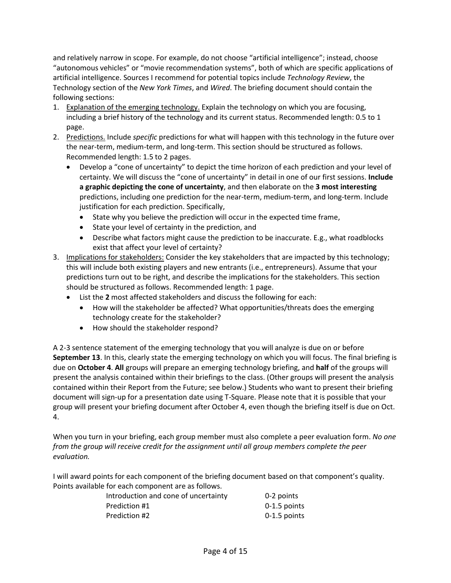and relatively narrow in scope. For example, do not choose "artificial intelligence"; instead, choose "autonomous vehicles" or "movie recommendation systems", both of which are specific applications of artificial intelligence. Sources I recommend for potential topics include *Technology Review*, the Technology section of the *New York Times*, and *Wired*. The briefing document should contain the following sections:

- 1. Explanation of the emerging technology. Explain the technology on which you are focusing, including a brief history of the technology and its current status. Recommended length: 0.5 to 1 page.
- 2. Predictions. Include *specific* predictions for what will happen with this technology in the future over the near-term, medium-term, and long-term. This section should be structured as follows. Recommended length: 1.5 to 2 pages.
	- Develop a "cone of uncertainty" to depict the time horizon of each prediction and your level of certainty. We will discuss the "cone of uncertainty" in detail in one of our first sessions. **Include a graphic depicting the cone of uncertainty**, and then elaborate on the **3 most interesting** predictions, including one prediction for the near-term, medium-term, and long-term. Include justification for each prediction. Specifically,
		- State why you believe the prediction will occur in the expected time frame,
		- State your level of certainty in the prediction, and
		- Describe what factors might cause the prediction to be inaccurate. E.g., what roadblocks exist that affect your level of certainty?
- 3. Implications for stakeholders: Consider the key stakeholders that are impacted by this technology; this will include both existing players and new entrants (i.e., entrepreneurs). Assume that your predictions turn out to be right, and describe the implications for the stakeholders. This section should be structured as follows. Recommended length: 1 page.
	- List the **2** most affected stakeholders and discuss the following for each:
		- How will the stakeholder be affected? What opportunities/threats does the emerging technology create for the stakeholder?
		- How should the stakeholder respond?

A 2-3 sentence statement of the emerging technology that you will analyze is due on or before **September 13**. In this, clearly state the emerging technology on which you will focus. The final briefing is due on **October 4**. **All** groups will prepare an emerging technology briefing, and **half** of the groups will present the analysis contained within their briefings to the class. (Other groups will present the analysis contained within their Report from the Future; see below.) Students who want to present their briefing document will sign-up for a presentation date using T-Square. Please note that it is possible that your group will present your briefing document after October 4, even though the briefing itself is due on Oct. 4.

When you turn in your briefing, each group member must also complete a peer evaluation form. *No one from the group will receive credit for the assignment until all group members complete the peer evaluation.*

I will award points for each component of the briefing document based on that component's quality. Points available for each component are as follows.

| Introduction and cone of uncertainty | 0-2 points     |
|--------------------------------------|----------------|
| Prediction #1                        | $0-1.5$ points |
| Prediction #2                        | $0-1.5$ points |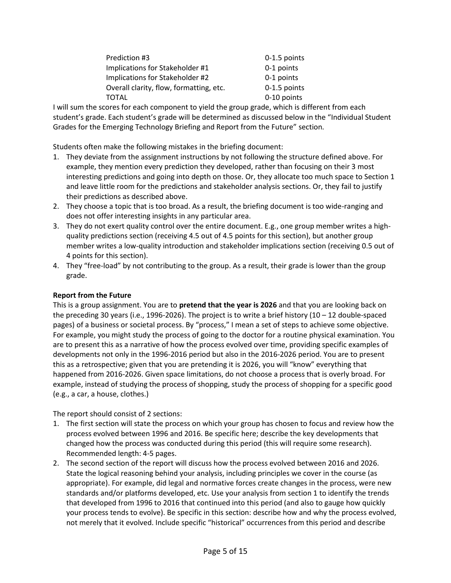| Prediction #3                           | 0-1.5 points |
|-----------------------------------------|--------------|
| Implications for Stakeholder #1         | 0-1 points   |
| Implications for Stakeholder #2         | 0-1 points   |
| Overall clarity, flow, formatting, etc. | 0-1.5 points |
| TOTAL                                   | 0-10 points  |

I will sum the scores for each component to yield the group grade, which is different from each student's grade. Each student's grade will be determined as discussed below in the "Individual Student Grades for the Emerging Technology Briefing and Report from the Future" section.

Students often make the following mistakes in the briefing document:

- 1. They deviate from the assignment instructions by not following the structure defined above. For example, they mention every prediction they developed, rather than focusing on their 3 most interesting predictions and going into depth on those. Or, they allocate too much space to Section 1 and leave little room for the predictions and stakeholder analysis sections. Or, they fail to justify their predictions as described above.
- 2. They choose a topic that is too broad. As a result, the briefing document is too wide-ranging and does not offer interesting insights in any particular area.
- 3. They do not exert quality control over the entire document. E.g., one group member writes a highquality predictions section (receiving 4.5 out of 4.5 points for this section), but another group member writes a low-quality introduction and stakeholder implications section (receiving 0.5 out of 4 points for this section).
- 4. They "free-load" by not contributing to the group. As a result, their grade is lower than the group grade.

## **Report from the Future**

This is a group assignment. You are to **pretend that the year is 2026** and that you are looking back on the preceding 30 years (i.e., 1996-2026). The project is to write a brief history  $(10 - 12$  double-spaced pages) of a business or societal process. By "process," I mean a set of steps to achieve some objective. For example, you might study the process of going to the doctor for a routine physical examination. You are to present this as a narrative of how the process evolved over time, providing specific examples of developments not only in the 1996-2016 period but also in the 2016-2026 period. You are to present this as a retrospective; given that you are pretending it is 2026, you will "know" everything that happened from 2016-2026. Given space limitations, do not choose a process that is overly broad. For example, instead of studying the process of shopping, study the process of shopping for a specific good (e.g., a car, a house, clothes.)

The report should consist of 2 sections:

- 1. The first section will state the process on which your group has chosen to focus and review how the process evolved between 1996 and 2016. Be specific here; describe the key developments that changed how the process was conducted during this period (this will require some research). Recommended length: 4-5 pages.
- 2. The second section of the report will discuss how the process evolved between 2016 and 2026. State the logical reasoning behind your analysis, including principles we cover in the course (as appropriate). For example, did legal and normative forces create changes in the process, were new standards and/or platforms developed, etc. Use your analysis from section 1 to identify the trends that developed from 1996 to 2016 that continued into this period (and also to gauge how quickly your process tends to evolve). Be specific in this section: describe how and why the process evolved, not merely that it evolved. Include specific "historical" occurrences from this period and describe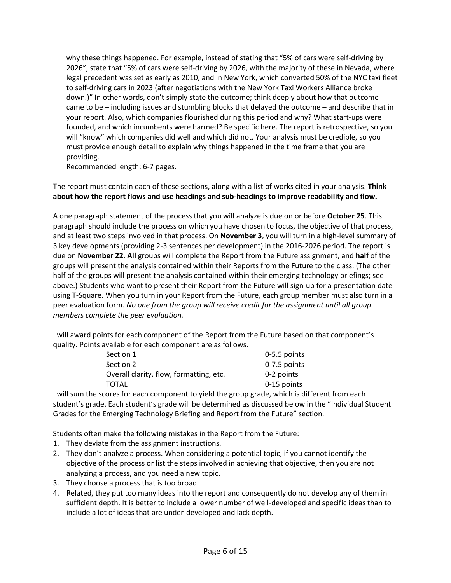why these things happened. For example, instead of stating that "5% of cars were self-driving by 2026", state that "5% of cars were self-driving by 2026, with the majority of these in Nevada, where legal precedent was set as early as 2010, and in New York, which converted 50% of the NYC taxi fleet to self-driving cars in 2023 (after negotiations with the New York Taxi Workers Alliance broke down.)" In other words, don't simply state the outcome; think deeply about how that outcome came to be – including issues and stumbling blocks that delayed the outcome – and describe that in your report. Also, which companies flourished during this period and why? What start-ups were founded, and which incumbents were harmed? Be specific here. The report is retrospective, so you will "know" which companies did well and which did not. Your analysis must be credible, so you must provide enough detail to explain why things happened in the time frame that you are providing.

Recommended length: 6-7 pages.

The report must contain each of these sections, along with a list of works cited in your analysis. **Think about how the report flows and use headings and sub-headings to improve readability and flow.**

A one paragraph statement of the process that you will analyze is due on or before **October 25**. This paragraph should include the process on which you have chosen to focus, the objective of that process, and at least two steps involved in that process. On **November 3**, you will turn in a high-level summary of 3 key developments (providing 2-3 sentences per development) in the 2016-2026 period. The report is due on **November 22**. **All** groups will complete the Report from the Future assignment, and **half** of the groups will present the analysis contained within their Reports from the Future to the class. (The other half of the groups will present the analysis contained within their emerging technology briefings; see above.) Students who want to present their Report from the Future will sign-up for a presentation date using T-Square. When you turn in your Report from the Future, each group member must also turn in a peer evaluation form. *No one from the group will receive credit for the assignment until all group members complete the peer evaluation.*

I will award points for each component of the Report from the Future based on that component's quality. Points available for each component are as follows.

| Section 1                               | 0-5.5 points   |
|-----------------------------------------|----------------|
| Section 2                               | $0-7.5$ points |
| Overall clarity, flow, formatting, etc. | 0-2 points     |
| TOTAL                                   | 0-15 points    |
|                                         |                |

I will sum the scores for each component to yield the group grade, which is different from each student's grade. Each student's grade will be determined as discussed below in the "Individual Student Grades for the Emerging Technology Briefing and Report from the Future" section.

Students often make the following mistakes in the Report from the Future:

- 1. They deviate from the assignment instructions.
- 2. They don't analyze a process. When considering a potential topic, if you cannot identify the objective of the process or list the steps involved in achieving that objective, then you are not analyzing a process, and you need a new topic.
- 3. They choose a process that is too broad.
- 4. Related, they put too many ideas into the report and consequently do not develop any of them in sufficient depth. It is better to include a lower number of well-developed and specific ideas than to include a lot of ideas that are under-developed and lack depth.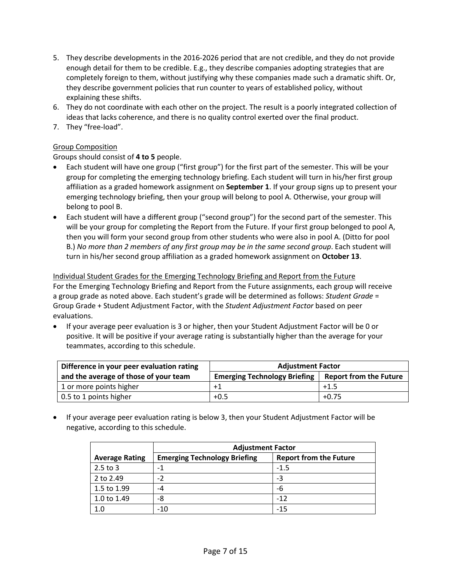- 5. They describe developments in the 2016-2026 period that are not credible, and they do not provide enough detail for them to be credible. E.g., they describe companies adopting strategies that are completely foreign to them, without justifying why these companies made such a dramatic shift. Or, they describe government policies that run counter to years of established policy, without explaining these shifts.
- 6. They do not coordinate with each other on the project. The result is a poorly integrated collection of ideas that lacks coherence, and there is no quality control exerted over the final product.
- 7. They "free-load".

# Group Composition

Groups should consist of **4 to 5** people.

- Each student will have one group ("first group") for the first part of the semester. This will be your group for completing the emerging technology briefing. Each student will turn in his/her first group affiliation as a graded homework assignment on **September 1**. If your group signs up to present your emerging technology briefing, then your group will belong to pool A. Otherwise, your group will belong to pool B.
- Each student will have a different group ("second group") for the second part of the semester. This will be your group for completing the Report from the Future. If your first group belonged to pool A, then you will form your second group from other students who were also in pool A. (Ditto for pool B.) *No more than 2 members of any first group may be in the same second group*. Each student will turn in his/her second group affiliation as a graded homework assignment on **October 13**.

Individual Student Grades for the Emerging Technology Briefing and Report from the Future For the Emerging Technology Briefing and Report from the Future assignments, each group will receive a group grade as noted above. Each student's grade will be determined as follows: *Student Grade* = Group Grade + Student Adjustment Factor, with the *Student Adjustment Factor* based on peer evaluations.

 If your average peer evaluation is 3 or higher, then your Student Adjustment Factor will be 0 or positive. It will be positive if your average rating is substantially higher than the average for your teammates, according to this schedule.

| Difference in your peer evaluation rating | <b>Adjustment Factor</b>            |                               |
|-------------------------------------------|-------------------------------------|-------------------------------|
| and the average of those of your team     | <b>Emerging Technology Briefing</b> | <b>Report from the Future</b> |
| 1 or more points higher                   | $+1$                                | $+1.5$                        |
| 0.5 to 1 points higher                    | $+0.5$                              | $+0.75$                       |

 If your average peer evaluation rating is below 3, then your Student Adjustment Factor will be negative, according to this schedule.

|                       | <b>Adjustment Factor</b>            |                               |
|-----------------------|-------------------------------------|-------------------------------|
| <b>Average Rating</b> | <b>Emerging Technology Briefing</b> | <b>Report from the Future</b> |
| $2.5$ to 3            | -1                                  | $-1.5$                        |
| 2 to 2.49             | $-2$                                | -3                            |
| 1.5 to 1.99           | -4                                  | -6                            |
| 1.0 to 1.49           | -8                                  | $-12$                         |
| 1.0                   | $-10$                               | $-15$                         |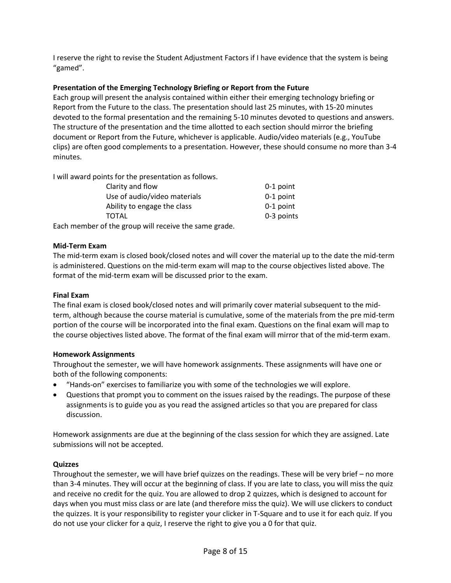I reserve the right to revise the Student Adjustment Factors if I have evidence that the system is being "gamed".

#### **Presentation of the Emerging Technology Briefing or Report from the Future**

Each group will present the analysis contained within either their emerging technology briefing or Report from the Future to the class. The presentation should last 25 minutes, with 15-20 minutes devoted to the formal presentation and the remaining 5-10 minutes devoted to questions and answers. The structure of the presentation and the time allotted to each section should mirror the briefing document or Report from the Future, whichever is applicable. Audio/video materials (e.g., YouTube clips) are often good complements to a presentation. However, these should consume no more than 3-4 minutes.

I will award points for the presentation as follows.

| Clarity and flow                                      | $0-1$ point |
|-------------------------------------------------------|-------------|
| Use of audio/video materials                          | $0-1$ point |
| Ability to engage the class                           | 0-1 point   |
| TOTAL                                                 | 0-3 points  |
| Each member of the group will receive the same grade. |             |

**Mid-Term Exam**

The mid-term exam is closed book/closed notes and will cover the material up to the date the mid-term is administered. Questions on the mid-term exam will map to the course objectives listed above. The format of the mid-term exam will be discussed prior to the exam.

#### **Final Exam**

The final exam is closed book/closed notes and will primarily cover material subsequent to the midterm, although because the course material is cumulative, some of the materials from the pre mid-term portion of the course will be incorporated into the final exam. Questions on the final exam will map to the course objectives listed above. The format of the final exam will mirror that of the mid-term exam.

#### **Homework Assignments**

Throughout the semester, we will have homework assignments. These assignments will have one or both of the following components:

- "Hands-on" exercises to familiarize you with some of the technologies we will explore.
- Questions that prompt you to comment on the issues raised by the readings. The purpose of these assignments is to guide you as you read the assigned articles so that you are prepared for class discussion.

Homework assignments are due at the beginning of the class session for which they are assigned. Late submissions will not be accepted.

#### **Quizzes**

Throughout the semester, we will have brief quizzes on the readings. These will be very brief – no more than 3-4 minutes. They will occur at the beginning of class. If you are late to class, you will miss the quiz and receive no credit for the quiz. You are allowed to drop 2 quizzes, which is designed to account for days when you must miss class or are late (and therefore miss the quiz). We will use clickers to conduct the quizzes. It is your responsibility to register your clicker in T-Square and to use it for each quiz. If you do not use your clicker for a quiz, I reserve the right to give you a 0 for that quiz.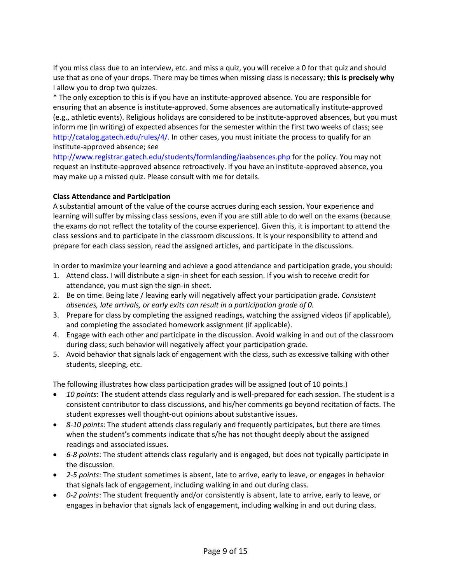If you miss class due to an interview, etc. and miss a quiz, you will receive a 0 for that quiz and should use that as one of your drops. There may be times when missing class is necessary; **this is precisely why** I allow you to drop two quizzes.

\* The only exception to this is if you have an institute-approved absence. You are responsible for ensuring that an absence is institute-approved. Some absences are automatically institute-approved (e.g., athletic events). Religious holidays are considered to be institute-approved absences, but you must inform me (in writing) of expected absences for the semester within the first two weeks of class; see [http://catalog.gatech.edu/rules/4/.](http://catalog.gatech.edu/rules/4/) In other cases, you must initiate the process to qualify for an institute-approved absence; see

<http://www.registrar.gatech.edu/students/formlanding/iaabsences.php> for the policy. You may not request an institute-approved absence retroactively. If you have an institute-approved absence, you may make up a missed quiz. Please consult with me for details.

### **Class Attendance and Participation**

A substantial amount of the value of the course accrues during each session. Your experience and learning will suffer by missing class sessions, even if you are still able to do well on the exams (because the exams do not reflect the totality of the course experience). Given this, it is important to attend the class sessions and to participate in the classroom discussions. It is your responsibility to attend and prepare for each class session, read the assigned articles, and participate in the discussions.

In order to maximize your learning and achieve a good attendance and participation grade, you should:

- 1. Attend class. I will distribute a sign-in sheet for each session. If you wish to receive credit for attendance, you must sign the sign-in sheet.
- 2. Be on time. Being late / leaving early will negatively affect your participation grade. *Consistent absences, late arrivals, or early exits can result in a participation grade of 0.*
- 3. Prepare for class by completing the assigned readings, watching the assigned videos (if applicable), and completing the associated homework assignment (if applicable).
- 4. Engage with each other and participate in the discussion. Avoid walking in and out of the classroom during class; such behavior will negatively affect your participation grade.
- 5. Avoid behavior that signals lack of engagement with the class, such as excessive talking with other students, sleeping, etc.

The following illustrates how class participation grades will be assigned (out of 10 points.)

- *10 points*: The student attends class regularly and is well-prepared for each session. The student is a consistent contributor to class discussions, and his/her comments go beyond recitation of facts. The student expresses well thought-out opinions about substantive issues.
- *8-10 points*: The student attends class regularly and frequently participates, but there are times when the student's comments indicate that s/he has not thought deeply about the assigned readings and associated issues.
- *6-8 points*: The student attends class regularly and is engaged, but does not typically participate in the discussion.
- *2-5 points*: The student sometimes is absent, late to arrive, early to leave, or engages in behavior that signals lack of engagement, including walking in and out during class.
- *0-2 points*: The student frequently and/or consistently is absent, late to arrive, early to leave, or engages in behavior that signals lack of engagement, including walking in and out during class.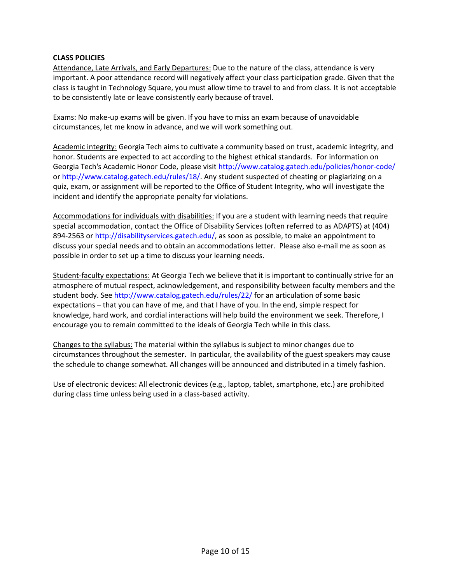#### **CLASS POLICIES**

Attendance, Late Arrivals, and Early Departures: Due to the nature of the class, attendance is very important. A poor attendance record will negatively affect your class participation grade. Given that the class is taught in Technology Square, you must allow time to travel to and from class. It is not acceptable to be consistently late or leave consistently early because of travel.

Exams: No make-up exams will be given. If you have to miss an exam because of unavoidable circumstances, let me know in advance, and we will work something out.

Academic integrity: Georgia Tech aims to cultivate a community based on trust, academic integrity, and honor. Students are expected to act according to the highest ethical standards. For information on Georgia Tech's Academic Honor Code, please visi[t http://www.catalog.gatech.edu/policies/honor-code/](http://www.catalog.gatech.edu/policies/honor-code/) or [http://www.catalog.gatech.edu/rules/18/.](http://www.catalog.gatech.edu/rules/18/) Any student suspected of cheating or plagiarizing on a quiz, exam, or assignment will be reported to the Office of Student Integrity, who will investigate the incident and identify the appropriate penalty for violations.

Accommodations for individuals with disabilities: If you are a student with learning needs that require special accommodation, contact the Office of Disability Services (often referred to as ADAPTS) at (404) 894-2563 or [http://disabilityservices.gatech.edu/,](http://disabilityservices.gatech.edu/) as soon as possible, to make an appointment to discuss your special needs and to obtain an accommodations letter. Please also e-mail me as soon as possible in order to set up a time to discuss your learning needs.

Student-faculty expectations: At Georgia Tech we believe that it is important to continually strive for an atmosphere of mutual respect, acknowledgement, and responsibility between faculty members and the student body. See<http://www.catalog.gatech.edu/rules/22/> for an articulation of some basic expectations – that you can have of me, and that I have of you. In the end, simple respect for knowledge, hard work, and cordial interactions will help build the environment we seek. Therefore, I encourage you to remain committed to the ideals of Georgia Tech while in this class.

Changes to the syllabus: The material within the syllabus is subject to minor changes due to circumstances throughout the semester. In particular, the availability of the guest speakers may cause the schedule to change somewhat. All changes will be announced and distributed in a timely fashion.

Use of electronic devices: All electronic devices (e.g., laptop, tablet, smartphone, etc.) are prohibited during class time unless being used in a class-based activity.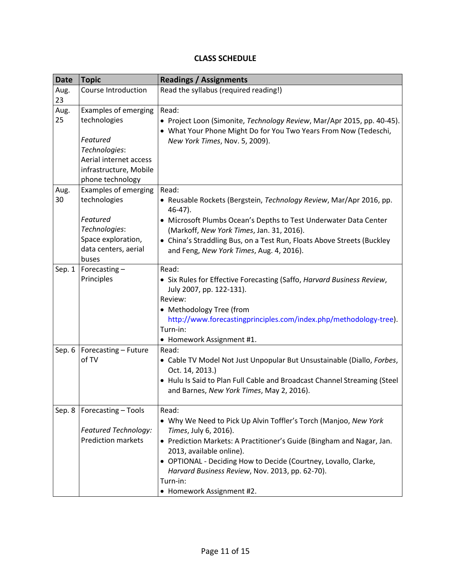# **CLASS SCHEDULE**

| <b>Date</b> | <b>Topic</b>                                                                                                                                     | <b>Readings / Assignments</b>                                                                                                                                                                                                                                                                                                                                          |
|-------------|--------------------------------------------------------------------------------------------------------------------------------------------------|------------------------------------------------------------------------------------------------------------------------------------------------------------------------------------------------------------------------------------------------------------------------------------------------------------------------------------------------------------------------|
| Aug.<br>23  | Course Introduction                                                                                                                              | Read the syllabus (required reading!)                                                                                                                                                                                                                                                                                                                                  |
| Aug.<br>25  | <b>Examples of emerging</b><br>technologies<br>Featured<br>Technologies:<br>Aerial internet access<br>infrastructure, Mobile<br>phone technology | Read:<br>• Project Loon (Simonite, Technology Review, Mar/Apr 2015, pp. 40-45).<br>• What Your Phone Might Do for You Two Years From Now (Tedeschi,<br>New York Times, Nov. 5, 2009).                                                                                                                                                                                  |
| Aug.<br>30  | Examples of emerging<br>technologies<br>Featured<br>Technologies:<br>Space exploration,<br>data centers, aerial<br>buses                         | Read:<br>• Reusable Rockets (Bergstein, Technology Review, Mar/Apr 2016, pp.<br>$46-47$ ).<br>• Microsoft Plumbs Ocean's Depths to Test Underwater Data Center<br>(Markoff, New York Times, Jan. 31, 2016).<br>• China's Straddling Bus, on a Test Run, Floats Above Streets (Buckley<br>and Feng, New York Times, Aug. 4, 2016).                                      |
| Sep. 1      | Forecasting-<br>Principles                                                                                                                       | Read:<br>• Six Rules for Effective Forecasting (Saffo, Harvard Business Review,<br>July 2007, pp. 122-131).<br>Review:<br>• Methodology Tree (from<br>http://www.forecastingprinciples.com/index.php/methodology-tree).<br>Turn-in:<br>• Homework Assignment #1.                                                                                                       |
| Sep. 6      | Forecasting - Future<br>of TV                                                                                                                    | Read:<br>• Cable TV Model Not Just Unpopular But Unsustainable (Diallo, Forbes,<br>Oct. 14, 2013.)<br>• Hulu Is Said to Plan Full Cable and Broadcast Channel Streaming (Steel<br>and Barnes, New York Times, May 2, 2016).                                                                                                                                            |
| Sep. 8      | Forecasting - Tools<br>Featured Technology:<br><b>Prediction markets</b>                                                                         | Read:<br>. Why We Need to Pick Up Alvin Toffler's Torch (Manjoo, New York<br>Times, July 6, 2016).<br>• Prediction Markets: A Practitioner's Guide (Bingham and Nagar, Jan.<br>2013, available online).<br>• OPTIONAL - Deciding How to Decide (Courtney, Lovallo, Clarke,<br>Harvard Business Review, Nov. 2013, pp. 62-70).<br>Turn-in:<br>• Homework Assignment #2. |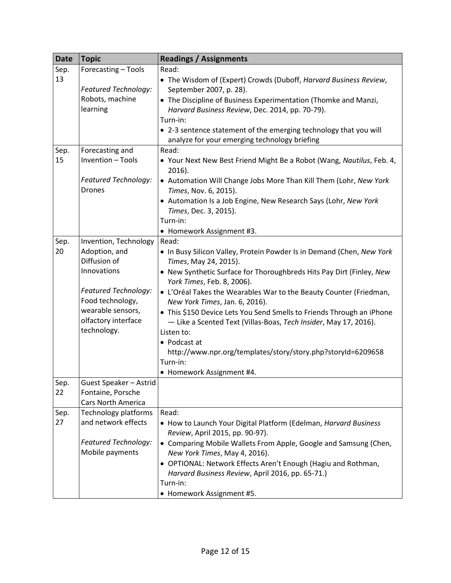| <b>Date</b> | <b>Topic</b>                             | <b>Readings / Assignments</b>                                                                        |
|-------------|------------------------------------------|------------------------------------------------------------------------------------------------------|
| Sep.        | Forecasting - Tools                      | Read:                                                                                                |
| 13          |                                          | • The Wisdom of (Expert) Crowds (Duboff, Harvard Business Review,                                    |
|             | Featured Technology:                     | September 2007, p. 28).                                                                              |
|             | Robots, machine                          | • The Discipline of Business Experimentation (Thomke and Manzi,                                      |
|             | learning                                 | Harvard Business Review, Dec. 2014, pp. 70-79).                                                      |
|             |                                          | Turn-in:                                                                                             |
|             |                                          | • 2-3 sentence statement of the emerging technology that you will                                    |
|             |                                          | analyze for your emerging technology briefing                                                        |
| Sep.        | Forecasting and                          | Read:                                                                                                |
| 15          | Invention - Tools                        | • Your Next New Best Friend Might Be a Robot (Wang, Nautilus, Feb. 4,<br>2016).                      |
|             | Featured Technology:<br><b>Drones</b>    | • Automation Will Change Jobs More Than Kill Them (Lohr, New York<br>Times, Nov. 6, 2015).           |
|             |                                          | • Automation Is a Job Engine, New Research Says (Lohr, New York<br>Times, Dec. 3, 2015).             |
|             |                                          | Turn-in:                                                                                             |
|             |                                          | • Homework Assignment #3.                                                                            |
| Sep.        | Invention, Technology                    | Read:                                                                                                |
| 20          | Adoption, and<br>Diffusion of            | . In Busy Silicon Valley, Protein Powder Is in Demand (Chen, New York<br>Times, May 24, 2015).       |
|             | Innovations                              | • New Synthetic Surface for Thoroughbreds Hits Pay Dirt (Finley, New<br>York Times, Feb. 8, 2006).   |
|             | Featured Technology:<br>Food technology, | • L'Oréal Takes the Wearables War to the Beauty Counter (Friedman,<br>New York Times, Jan. 6, 2016). |
|             | wearable sensors,                        | • This \$150 Device Lets You Send Smells to Friends Through an iPhone                                |
|             | olfactory interface                      | - Like a Scented Text (Villas-Boas, Tech Insider, May 17, 2016).                                     |
|             | technology.                              | Listen to:                                                                                           |
|             |                                          | • Podcast at                                                                                         |
|             |                                          | http://www.npr.org/templates/story/story.php?storyId=6209658                                         |
|             |                                          | Turn-in:                                                                                             |
|             |                                          | • Homework Assignment #4.                                                                            |
| Sep.        | Guest Speaker - Astrid                   |                                                                                                      |
| 22          | Fontaine, Porsche                        |                                                                                                      |
|             | <b>Cars North America</b>                |                                                                                                      |
| Sep.        | Technology platforms                     | Read:                                                                                                |
| 27          | and network effects                      | • How to Launch Your Digital Platform (Edelman, Harvard Business                                     |
|             |                                          | Review, April 2015, pp. 90-97).                                                                      |
|             | Featured Technology:                     | • Comparing Mobile Wallets From Apple, Google and Samsung (Chen,                                     |
|             | Mobile payments                          | New York Times, May 4, 2016).                                                                        |
|             |                                          | • OPTIONAL: Network Effects Aren't Enough (Hagiu and Rothman,                                        |
|             |                                          | Harvard Business Review, April 2016, pp. 65-71.)                                                     |
|             |                                          | Turn-in:                                                                                             |
|             |                                          | • Homework Assignment #5.                                                                            |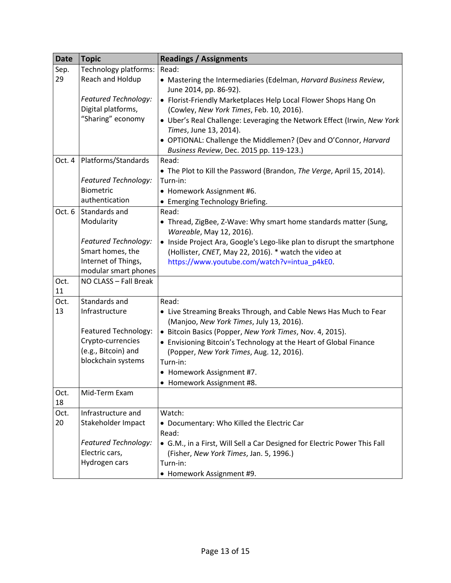| <b>Date</b> | <b>Topic</b>                | <b>Readings / Assignments</b>                                                                                |
|-------------|-----------------------------|--------------------------------------------------------------------------------------------------------------|
| Sep.        | Technology platforms:       | Read:                                                                                                        |
| 29          | Reach and Holdup            | • Mastering the Intermediaries (Edelman, Harvard Business Review,<br>June 2014, pp. 86-92).                  |
|             | <b>Featured Technology:</b> | • Florist-Friendly Marketplaces Help Local Flower Shops Hang On                                              |
|             | Digital platforms,          | (Cowley, New York Times, Feb. 10, 2016).                                                                     |
|             | "Sharing" economy           | • Uber's Real Challenge: Leveraging the Network Effect (Irwin, New York<br>Times, June 13, 2014).            |
|             |                             | • OPTIONAL: Challenge the Middlemen? (Dev and O'Connor, Harvard<br>Business Review, Dec. 2015 pp. 119-123.)  |
| Oct. 4      | Platforms/Standards         | Read:                                                                                                        |
|             |                             | • The Plot to Kill the Password (Brandon, The Verge, April 15, 2014).                                        |
|             | Featured Technology:        | Turn-in:                                                                                                     |
|             | Biometric                   | • Homework Assignment #6.                                                                                    |
|             | authentication              | • Emerging Technology Briefing.                                                                              |
| Oct. 6      | Standards and               | Read:                                                                                                        |
|             | Modularity                  | • Thread, ZigBee, Z-Wave: Why smart home standards matter (Sung,<br>Wareable, May 12, 2016).                 |
|             | <b>Featured Technology:</b> | • Inside Project Ara, Google's Lego-like plan to disrupt the smartphone                                      |
|             | Smart homes, the            | (Hollister, CNET, May 22, 2016). * watch the video at                                                        |
|             | Internet of Things,         | https://www.youtube.com/watch?v=intua_p4kE0.                                                                 |
|             | modular smart phones        |                                                                                                              |
| Oct.        | NO CLASS - Fall Break       |                                                                                                              |
| 11          |                             |                                                                                                              |
| Oct.        | Standards and               | Read:                                                                                                        |
| 13          | Infrastructure              | • Live Streaming Breaks Through, and Cable News Has Much to Fear<br>(Manjoo, New York Times, July 13, 2016). |
|             | Featured Technology:        | • Bitcoin Basics (Popper, New York Times, Nov. 4, 2015).                                                     |
|             | Crypto-currencies           | • Envisioning Bitcoin's Technology at the Heart of Global Finance                                            |
|             | (e.g., Bitcoin) and         | (Popper, New York Times, Aug. 12, 2016).                                                                     |
|             | blockchain systems          | Turn-in:                                                                                                     |
|             |                             | • Homework Assignment #7.                                                                                    |
|             |                             | Homework Assignment #8.                                                                                      |
| Oct.<br>18  | Mid-Term Exam               |                                                                                                              |
| Oct.        | Infrastructure and          | Watch:                                                                                                       |
| 20          | Stakeholder Impact          | • Documentary: Who Killed the Electric Car                                                                   |
|             |                             | Read:                                                                                                        |
|             | Featured Technology:        | • G.M., in a First, Will Sell a Car Designed for Electric Power This Fall                                    |
|             | Electric cars,              | (Fisher, New York Times, Jan. 5, 1996.)                                                                      |
|             | Hydrogen cars               | Turn-in:                                                                                                     |
|             |                             | • Homework Assignment #9.                                                                                    |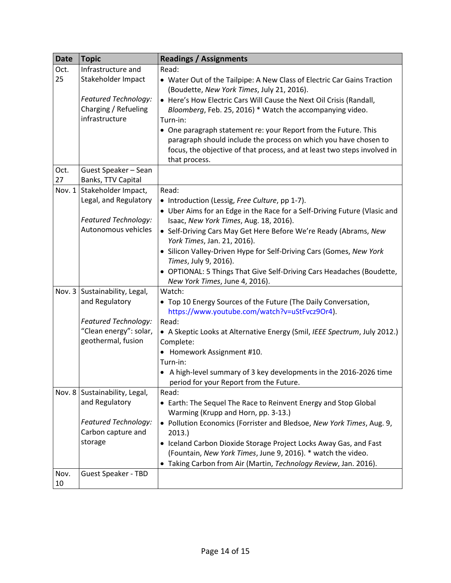| <b>Date</b> | <b>Topic</b>                                      | <b>Readings / Assignments</b>                                                                                         |
|-------------|---------------------------------------------------|-----------------------------------------------------------------------------------------------------------------------|
| Oct.        | Infrastructure and                                | Read:                                                                                                                 |
| 25          | Stakeholder Impact                                | • Water Out of the Tailpipe: A New Class of Electric Car Gains Traction<br>(Boudette, New York Times, July 21, 2016). |
|             | Featured Technology:                              | • Here's How Electric Cars Will Cause the Next Oil Crisis (Randall,                                                   |
|             | Charging / Refueling                              | Bloomberg, Feb. 25, 2016) * Watch the accompanying video.                                                             |
|             | infrastructure                                    | Turn-in:                                                                                                              |
|             |                                                   | • One paragraph statement re: your Report from the Future. This                                                       |
|             |                                                   | paragraph should include the process on which you have chosen to                                                      |
|             |                                                   | focus, the objective of that process, and at least two steps involved in                                              |
| Oct.        | Guest Speaker - Sean                              | that process.                                                                                                         |
| 27          | Banks, TTV Capital                                |                                                                                                                       |
| Nov. 1      | Stakeholder Impact,                               | Read:                                                                                                                 |
|             | Legal, and Regulatory                             | • Introduction (Lessig, Free Culture, pp 1-7).                                                                        |
|             |                                                   | • Uber Aims for an Edge in the Race for a Self-Driving Future (Vlasic and                                             |
|             | Featured Technology:                              | Isaac, New York Times, Aug. 18, 2016).                                                                                |
|             | Autonomous vehicles                               | • Self-Driving Cars May Get Here Before We're Ready (Abrams, New                                                      |
|             |                                                   | York Times, Jan. 21, 2016).                                                                                           |
|             |                                                   | • Silicon Valley-Driven Hype for Self-Driving Cars (Gomes, New York                                                   |
|             |                                                   | Times, July 9, 2016).                                                                                                 |
|             |                                                   | • OPTIONAL: 5 Things That Give Self-Driving Cars Headaches (Boudette,                                                 |
|             | Nov. 3   Sustainability, Legal,                   | New York Times, June 4, 2016).<br>Watch:                                                                              |
|             | and Regulatory                                    | • Top 10 Energy Sources of the Future (The Daily Conversation,                                                        |
|             |                                                   | https://www.youtube.com/watch?v=uStFvcz9Or4).                                                                         |
|             | Featured Technology:                              | Read:                                                                                                                 |
|             | "Clean energy": solar,                            | • A Skeptic Looks at Alternative Energy (Smil, IEEE Spectrum, July 2012.)                                             |
|             | geothermal, fusion                                | Complete:                                                                                                             |
|             |                                                   | Homework Assignment #10.                                                                                              |
|             |                                                   | Turn-in:                                                                                                              |
|             |                                                   | • A high-level summary of 3 key developments in the 2016-2026 time                                                    |
|             |                                                   | period for your Report from the Future.                                                                               |
|             | Nov. 8   Sustainability, Legal,<br>and Regulatory | Read:                                                                                                                 |
|             |                                                   | • Earth: The Sequel The Race to Reinvent Energy and Stop Global<br>Warming (Krupp and Horn, pp. 3-13.)                |
|             | Featured Technology:                              | • Pollution Economics (Forrister and Bledsoe, New York Times, Aug. 9,                                                 |
|             | Carbon capture and                                | 2013.                                                                                                                 |
|             | storage                                           | • Iceland Carbon Dioxide Storage Project Locks Away Gas, and Fast                                                     |
|             |                                                   | (Fountain, New York Times, June 9, 2016). * watch the video.                                                          |
|             |                                                   | Taking Carbon from Air (Martin, Technology Review, Jan. 2016).                                                        |
| Nov.        | <b>Guest Speaker - TBD</b>                        |                                                                                                                       |
| 10          |                                                   |                                                                                                                       |